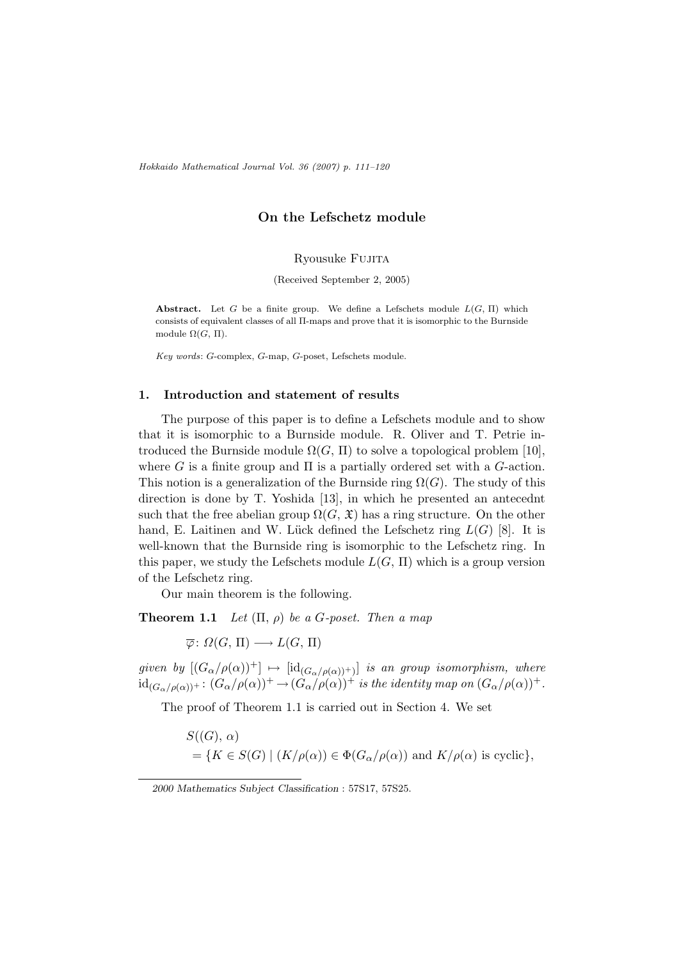Hokkaido Mathematical Journal Vol. 36 (2007) p. 111–120

# On the Lefschetz module

Ryousuke Fujita

(Received September 2, 2005)

**Abstract.** Let G be a finite group. We define a Lefschets module  $L(G, \Pi)$  which consists of equivalent classes of all Π-maps and prove that it is isomorphic to the Burnside module  $\Omega(G, \Pi)$ .

Key words: G-complex, G-map, G-poset, Lefschets module.

## 1. Introduction and statement of results

The purpose of this paper is to define a Lefschets module and to show that it is isomorphic to a Burnside module. R. Oliver and T. Petrie introduced the Burnside module  $\Omega(G, \Pi)$  to solve a topological problem [10], where G is a finite group and  $\Pi$  is a partially ordered set with a G-action. This notion is a generalization of the Burnside ring  $\Omega(G)$ . The study of this direction is done by T. Yoshida [13], in which he presented an antecednt such that the free abelian group  $\Omega(G, \mathfrak{X})$  has a ring structure. On the other hand, E. Laitinen and W. Lück defined the Lefschetz ring  $L(G)$  [8]. It is well-known that the Burnside ring is isomorphic to the Lefschetz ring. In this paper, we study the Lefschets module  $L(G, \Pi)$  which is a group version of the Lefschetz ring.

Our main theorem is the following.

**Theorem 1.1** Let  $(\Pi, \rho)$  be a G-poset. Then a map

 $\overline{\varphi}$ :  $\Omega(G, \Pi) \longrightarrow L(G, \Pi)$ 

given by  $[(G_{\alpha}/\rho(\alpha))^+] \mapsto [id_{(G_{\alpha}/\rho(\alpha))^+)}]$  is an group isomorphism, where  $\mathrm{id}_{(G_{\alpha}/\rho(\alpha))^+}\colon (G_{\alpha}/\rho(\alpha))^+\to (\hat{G_{\alpha}}/\rho(\alpha))^+$  is the identity map on  $(G_{\alpha}/\rho(\alpha))^+$ .

The proof of Theorem 1.1 is carried out in Section 4. We set

$$
S((G), \alpha)
$$
  
= {K \in S(G) | (K/\rho(\alpha)) \in \Phi(G\_{\alpha}/\rho(\alpha)) and K/\rho(\alpha) is cyclic},

<sup>2000</sup> Mathematics Subject Classification : 57S17, 57S25.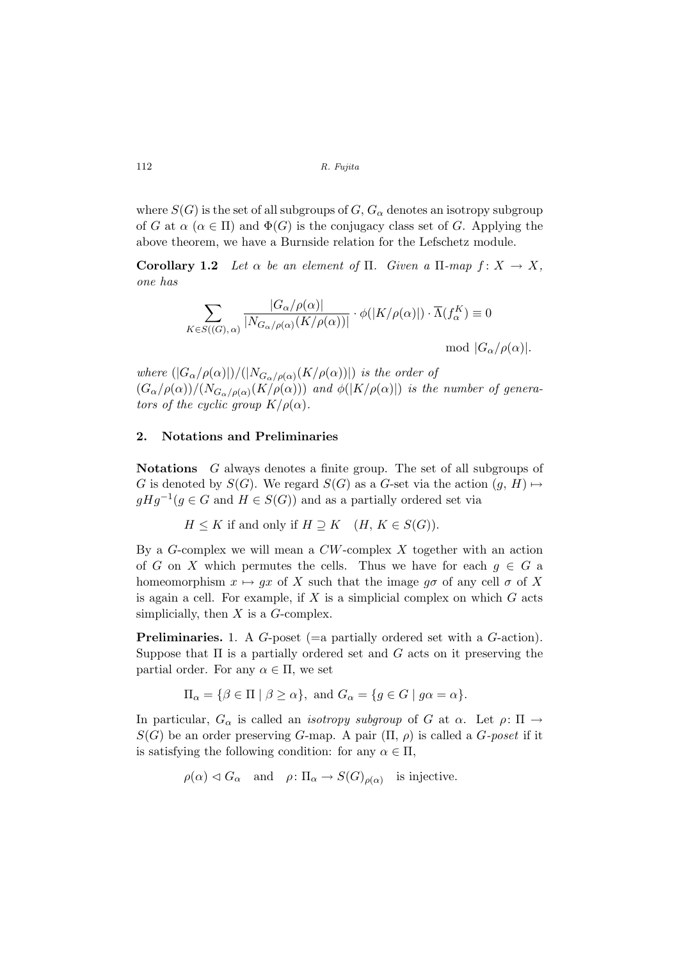where  $S(G)$  is the set of all subgroups of  $G, G_{\alpha}$  denotes an isotropy subgroup of G at  $\alpha$  ( $\alpha \in \Pi$ ) and  $\Phi(G)$  is the conjugacy class set of G. Applying the above theorem, we have a Burnside relation for the Lefschetz module.

Corollary 1.2 Let  $\alpha$  be an element of  $\Pi$ . Given a  $\Pi$ -map  $f: X \to X$ , one has

$$
\sum_{K \in S((G), \alpha)} \frac{|G_{\alpha}/\rho(\alpha)|}{|N_{G_{\alpha}/\rho(\alpha)}(K/\rho(\alpha))|} \cdot \phi(|K/\rho(\alpha)|) \cdot \overline{\Lambda}(f_{\alpha}^{K}) \equiv 0
$$
  
mod  $|G_{\alpha}/\rho(\alpha)|$ .

where  $(|G_{\alpha}/\rho(\alpha)|)/(|N_{G_{\alpha}/\rho(\alpha)}(K/\rho(\alpha))|)$  is the order of  $(G_{\alpha}/\rho(\alpha))/(N_{G_{\alpha}/\rho(\alpha)}(K/\rho(\alpha)))$  and  $\phi(|K/\rho(\alpha)|)$  is the number of generators of the cyclic group  $K/\rho(\alpha)$ .

### 2. Notations and Preliminaries

Notations G always denotes a finite group. The set of all subgroups of G is denoted by  $S(G)$ . We regard  $S(G)$  as a G-set via the action  $(g, H) \mapsto$  $gHg^{-1}(g \in G \text{ and } H \in S(G))$  and as a partially ordered set via

 $H \leq K$  if and only if  $H \supseteq K$  (H,  $K \in S(G)$ ).

By a  $G$ -complex we will mean a  $CW$ -complex X together with an action of G on X which permutes the cells. Thus we have for each  $g \in G$  a homeomorphism  $x \mapsto gx$  of X such that the image  $g\sigma$  of any cell  $\sigma$  of X is again a cell. For example, if  $X$  is a simplicial complex on which  $G$  acts simplicially, then  $X$  is a  $G$ -complex.

Preliminaries. 1. A G-poset (=a partially ordered set with a G-action). Suppose that  $\Pi$  is a partially ordered set and  $G$  acts on it preserving the partial order. For any  $\alpha \in \Pi$ , we set

$$
\Pi_{\alpha} = \{ \beta \in \Pi \mid \beta \ge \alpha \}, \text{ and } G_{\alpha} = \{ g \in G \mid g\alpha = \alpha \}.
$$

In particular,  $G_{\alpha}$  is called an *isotropy subgroup* of G at  $\alpha$ . Let  $\rho: \Pi \rightarrow$  $S(G)$  be an order preserving G-map. A pair  $(\Pi, \rho)$  is called a G-poset if it is satisfying the following condition: for any  $\alpha \in \Pi$ ,

$$
\rho(\alpha) \lhd G_{\alpha}
$$
 and  $\rho: \Pi_{\alpha} \to S(G)_{\rho(\alpha)}$  is injective.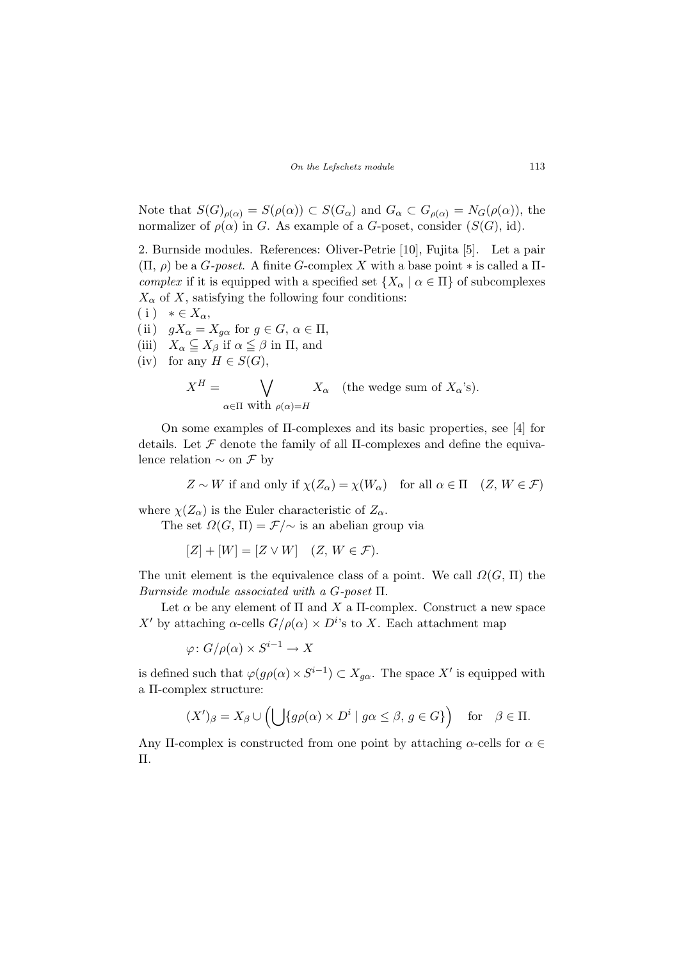Note that  $S(G)_{\rho(\alpha)} = S(\rho(\alpha)) \subset S(G_\alpha)$  and  $G_\alpha \subset G_{\rho(\alpha)} = N_G(\rho(\alpha))$ , the normalizer of  $\rho(\alpha)$  in G. As example of a G-poset, consider  $(S(G), id)$ .

2. Burnside modules. References: Oliver-Petrie [10], Fujita [5]. Let a pair  $(\Pi, \rho)$  be a *G-poset*. A finite *G*-complex X with a base point  $*$  is called a  $\Pi$ complex if it is equipped with a specified set  ${X_\alpha \mid \alpha \in \Pi}$  of subcomplexes  $X_{\alpha}$  of X, satisfying the following four conditions:  $(i) * \in X_\alpha,$ 

(ii)  $gX_{\alpha} = X_{q\alpha}$  for  $g \in G, \alpha \in \Pi$ , (iii)  $X_{\alpha} \subseteq X_{\beta}$  if  $\alpha \leq \beta$  in  $\Pi$ , and (iv) for any  $H \in S(G)$ ,

$$
X^H = \bigvee_{\alpha \in \Pi \text{ with } \rho(\alpha) = H} X_{\alpha} \quad \text{(the wedge sum of } X_{\alpha} \text{'s)}.
$$

On some examples of Π-complexes and its basic properties, see [4] for details. Let  $\mathcal F$  denote the family of all II-complexes and define the equivalence relation  $\sim$  on  $\mathcal F$  by

$$
Z \sim W \text{ if and only if } \chi(Z_{\alpha}) = \chi(W_{\alpha}) \quad \text{for all } \alpha \in \Pi \quad (Z, W \in \mathcal{F})
$$

where  $\chi(Z_\alpha)$  is the Euler characteristic of  $Z_\alpha$ .

The set  $\Omega(G, \Pi) = \mathcal{F}/\sim$  is an abelian group via

 $[Z] + [W] = [Z \vee W]$  (Z,  $W \in \mathcal{F}$ ).

The unit element is the equivalence class of a point. We call  $\Omega(G, \Pi)$  the Burnside module associated with a G-poset Π.

Let  $\alpha$  be any element of  $\Pi$  and  $X$  a  $\Pi$ -complex. Construct a new space X' by attaching  $\alpha$ -cells  $G/\rho(\alpha) \times D^{i}$ 's to X. Each attachment map

 $\varphi\colon G/\rho(\alpha)\times S^{i-1}\to X$ 

is defined such that  $\varphi(g\rho(\alpha) \times S^{i-1}) \subset X_{g\alpha}$ . The space X' is equipped with a Π-complex structure:

$$
(X')_{\beta} = X_{\beta} \cup \left( \bigcup \{ g\rho(\alpha) \times D^i \mid g\alpha \leq \beta, g \in G \} \right) \text{ for } \beta \in \Pi.
$$

Any II-complex is constructed from one point by attaching  $\alpha$ -cells for  $\alpha \in$ Π.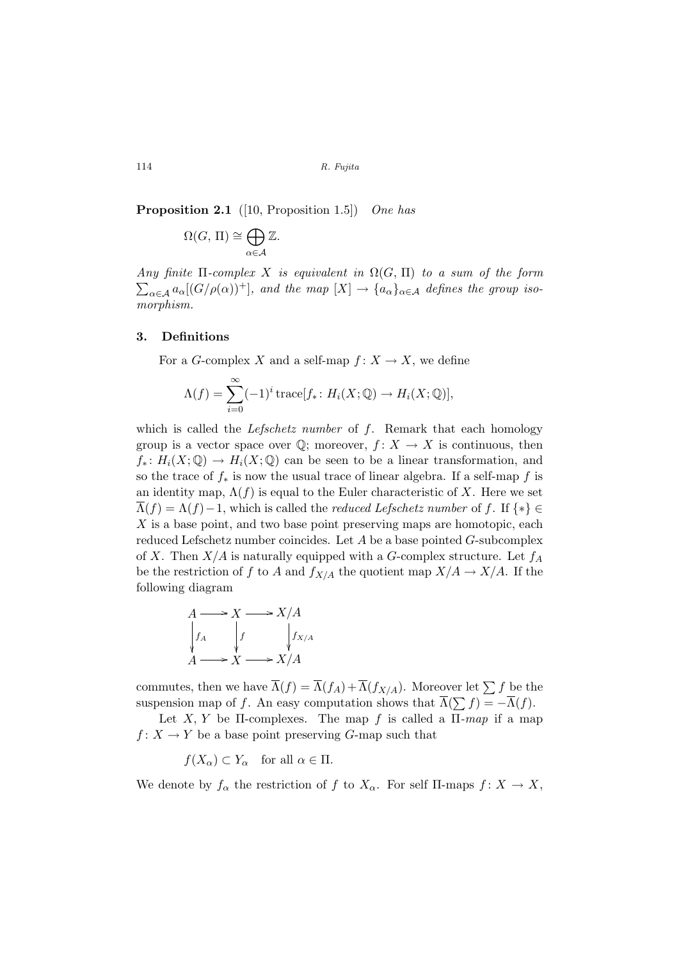**Proposition 2.1** ([10, Proposition 1.5]) One has

$$
\Omega(G, \Pi) \cong \bigoplus_{\alpha \in \mathcal{A}} \mathbb{Z}.
$$

Any finite  $\Pi$ -complex X is equivalent in  $\Omega(G, \Pi)$  to a sum of the form  $\sum_{\alpha\in\mathcal{A}} a_{\alpha}[(G/\rho(\alpha))^+]$ , and the map  $[X] \to \{a_{\alpha}\}_{{\alpha}\in\mathcal{A}}$  defines the group isomorphism.

### 3. Definitions

For a G-complex X and a self-map  $f: X \to X$ , we define

$$
\Lambda(f) = \sum_{i=0}^{\infty} (-1)^i \operatorname{trace}[f_* \colon H_i(X; \mathbb{Q}) \to H_i(X; \mathbb{Q})],
$$

which is called the *Lefschetz number* of  $f$ . Remark that each homology group is a vector space over  $\mathbb{Q}$ ; moreover,  $f: X \to X$  is continuous, then  $f_*: H_i(X; \mathbb{Q}) \to H_i(X; \mathbb{Q})$  can be seen to be a linear transformation, and so the trace of  $f_*$  is now the usual trace of linear algebra. If a self-map f is an identity map,  $\Lambda(f)$  is equal to the Euler characteristic of X. Here we set  $\Lambda(f) = \Lambda(f) - 1$ , which is called the *reduced Lefschetz number* of f. If  $\{*\} \in$ X is a base point, and two base point preserving maps are homotopic, each reduced Lefschetz number coincides. Let  $A$  be a base pointed  $G$ -subcomplex of X. Then  $X/A$  is naturally equipped with a G-complex structure. Let  $f_A$ be the restriction of f to A and  $f_{X/A}$  the quotient map  $X/A \to X/A$ . If the following diagram

$$
A \longrightarrow X \longrightarrow X/A
$$
  
\n
$$
\downarrow f_A
$$
  
\n
$$
\downarrow f
$$
  
\n
$$
\downarrow f_{X/A}
$$
  
\n
$$
A \longrightarrow X \longrightarrow X/A
$$

commutes, then we have  $\overline{\Lambda}(f) = \overline{\Lambda}(f_A) + \overline{\Lambda}(f_{X/A})$ . Moreover let  $\sum f$  be the suspension map of f. An easy computation shows that  $\overline{\Lambda}(\sum f) = -\overline{\Lambda}(f)$ .

Let X, Y be II-complexes. The map f is called a  $\Pi$ -map if a map  $f: X \to Y$  be a base point preserving G-map such that

 $f(X_{\alpha}) \subset Y_{\alpha}$  for all  $\alpha \in \Pi$ .

We denote by  $f_{\alpha}$  the restriction of f to  $X_{\alpha}$ . For self II-maps  $f: X \to X$ ,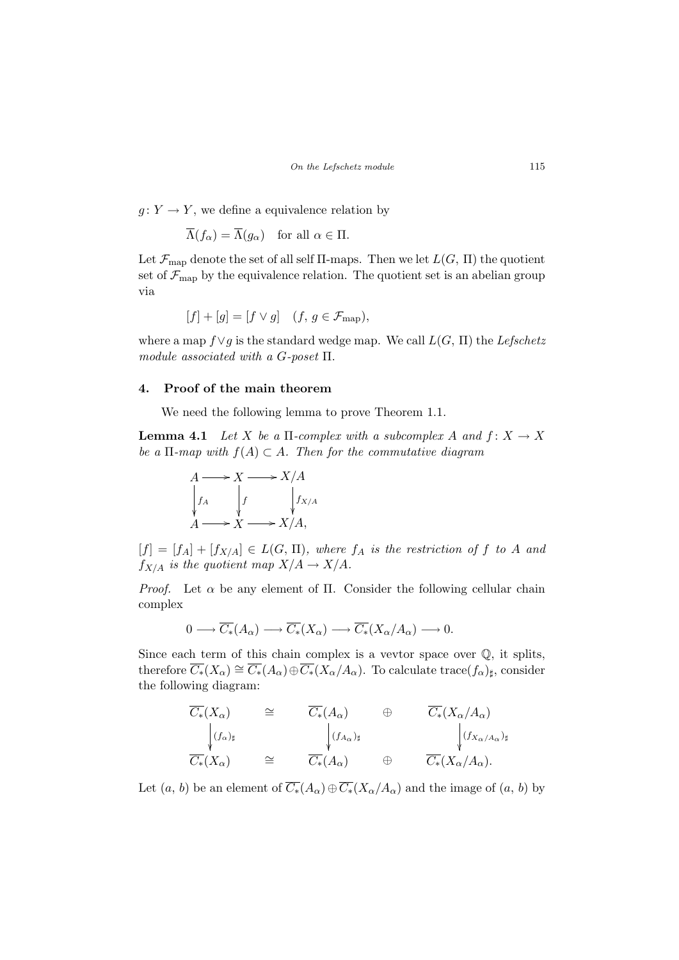$g: Y \to Y$ , we define a equivalence relation by

$$
\overline{\Lambda}(f_{\alpha}) = \overline{\Lambda}(g_{\alpha}) \quad \text{for all } \alpha \in \Pi.
$$

Let  $\mathcal{F}_{\text{map}}$  denote the set of all self  $\Pi$ -maps. Then we let  $L(G, \Pi)$  the quotient set of  $\mathcal{F}_{\text{map}}$  by the equivalence relation. The quotient set is an abelian group via

$$
[f] + [g] = [f \vee g] \quad (f, g \in \mathcal{F}_{\text{map}}),
$$

where a map  $f\vee g$  is the standard wedge map. We call  $L(G, \Pi)$  the Lefschetz module associated with a G-poset Π.

## 4. Proof of the main theorem

We need the following lemma to prove Theorem 1.1.

**Lemma 4.1** Let X be a  $\Pi$ -complex with a subcomplex A and  $f: X \to X$ be a  $\Pi$ -map with  $f(A) \subset A$ . Then for the commutative diagram



 $[f] = [f_A] + [f_{X/A}] \in L(G, \Pi)$ , where  $f_A$  is the restriction of f to A and  $f_{X/A}$  is the quotient map  $X/A \to X/A$ .

*Proof.* Let  $\alpha$  be any element of Π. Consider the following cellular chain complex

$$
0 \longrightarrow \overline{C_*}(A_\alpha) \longrightarrow \overline{C_*}(X_\alpha) \longrightarrow \overline{C_*}(X_\alpha/A_\alpha) \longrightarrow 0.
$$

Since each term of this chain complex is a vevtor space over  $\mathbb{Q}$ , it splits, therefore  $\overline{C_*}(X_\alpha) \cong \overline{C_*}(A_\alpha) \oplus \overline{C_*}(X_\alpha/A_\alpha)$ . To calculate trace $(f_\alpha)_{\sharp}$ , consider the following diagram:

$$
\overline{C_*}(X_{\alpha}) \cong \overline{C_*}(A_{\alpha}) \oplus \overline{C_*}(X_{\alpha}/A_{\alpha})
$$
\n
$$
\downarrow (f_{\alpha})_{\sharp}
$$
\n
$$
\overline{C_*}(X_{\alpha}) \cong \overline{C_*}(A_{\alpha}) \oplus \overline{C_*}(X_{\alpha}/A_{\alpha})_{\sharp}
$$
\n
$$
\downarrow (f_{X_{\alpha}/A_{\alpha}})_{\sharp}
$$

Let  $(a, b)$  be an element of  $\overline{C_*}(A_\alpha) \oplus \overline{C_*}(X_\alpha/A_\alpha)$  and the image of  $(a, b)$  by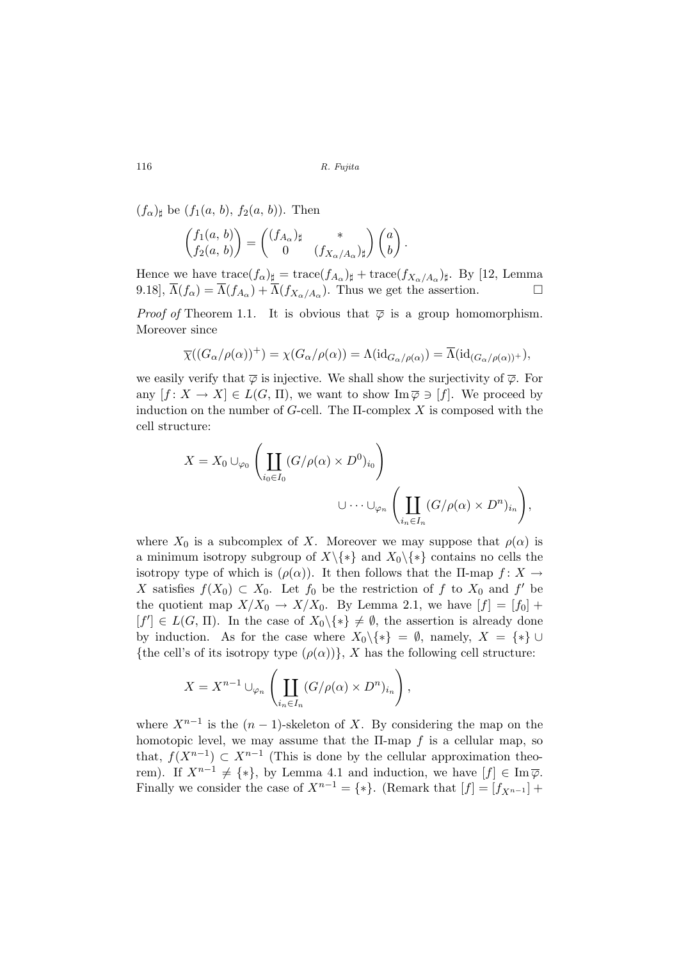$(f_{\alpha})_{\sharp}$  be  $(f_1(a, b), f_2(a, b))$ . Then

$$
\begin{pmatrix} f_1(a, b) \\ f_2(a, b) \end{pmatrix} = \begin{pmatrix} (f_{A_\alpha})_{\sharp} & * \\ 0 & (f_{X_\alpha/A_\alpha})_{\sharp} \end{pmatrix} \begin{pmatrix} a \\ b \end{pmatrix}.
$$

Hence we have  $trace(f_{\alpha})_{\sharp} = trace(f_{A_{\alpha}})_{\sharp} + trace(f_{X_{\alpha}/A_{\alpha}})_{\sharp}$ . By [12, Lemma 9.18],  $\overline{\Lambda}(f_{\alpha}) = \overline{\Lambda}(f_{A_{\alpha}}) + \overline{\Lambda}(f_{X_{\alpha}/A_{\alpha}})$ . Thus we get the assertion.

*Proof of* Theorem 1.1. It is obvious that  $\overline{\varphi}$  is a group homomorphism. Moreover since

$$
\overline{\chi}((G_{\alpha}/\rho(\alpha))^{+}) = \chi(G_{\alpha}/\rho(\alpha)) = \Lambda(\mathrm{id}_{G_{\alpha}/\rho(\alpha)}) = \overline{\Lambda}(\mathrm{id}_{(G_{\alpha}/\rho(\alpha))^{+}}),
$$

we easily verify that  $\overline{\varphi}$  is injective. We shall show the surjectivity of  $\overline{\varphi}$ . For any  $[f: X \to X] \in L(G, \Pi)$ , we want to show  $\text{Im}\,\overline{\varphi} \ni [f]$ . We proceed by induction on the number of  $G$ -cell. The  $\Pi$ -complex X is composed with the cell structure:

$$
X = X_0 \cup_{\varphi_0} \left( \coprod_{i_0 \in I_0} (G/\rho(\alpha) \times D^0)_{i_0} \right)
$$
  

$$
\cup \cdots \cup_{\varphi_n} \left( \coprod_{i_n \in I_n} (G/\rho(\alpha) \times D^n)_{i_n} \right),
$$

where  $X_0$  is a subcomplex of X. Moreover we may suppose that  $\rho(\alpha)$  is a minimum isotropy subgroup of  $X\backslash\{*\}$  and  $X_0\backslash\{*\}$  contains no cells the isotropy type of which is  $(\rho(\alpha))$ . It then follows that the II-map  $f: X \to$ X satisfies  $f(X_0) \subset X_0$ . Let  $f_0$  be the restriction of f to  $X_0$  and f' be the quotient map  $X/X_0 \to X/X_0$ . By Lemma 2.1, we have  $[f] = [f_0] +$  $[f'] \in L(G, \Pi)$ . In the case of  $X_0 \backslash \{*\} \neq \emptyset$ , the assertion is already done by induction. As for the case where  $X_0 \setminus \{*\} = \emptyset$ , namely,  $X = \{*\} \cup$ {the cell's of its isotropy type  $(\rho(\alpha))$ }, X has the following cell structure:

$$
X = X^{n-1} \cup_{\varphi_n} \left( \coprod_{i_n \in I_n} (G/\rho(\alpha) \times D^n)_{i_n} \right),
$$

where  $X^{n-1}$  is the  $(n-1)$ -skeleton of X. By considering the map on the homotopic level, we may assume that the  $\Pi$ -map  $f$  is a cellular map, so that,  $f(X^{n-1})$  ⊂  $X^{n-1}$  (This is done by the cellular approximation theorem). If  $X^{n-1} \neq \{*\}$ , by Lemma 4.1 and induction, we have  $[f] \in \text{Im}\,\overline{\varphi}$ . Finally we consider the case of  $X^{n-1} = \{*\}.$  (Remark that  $[f] = [f_{X^{n-1}}] +$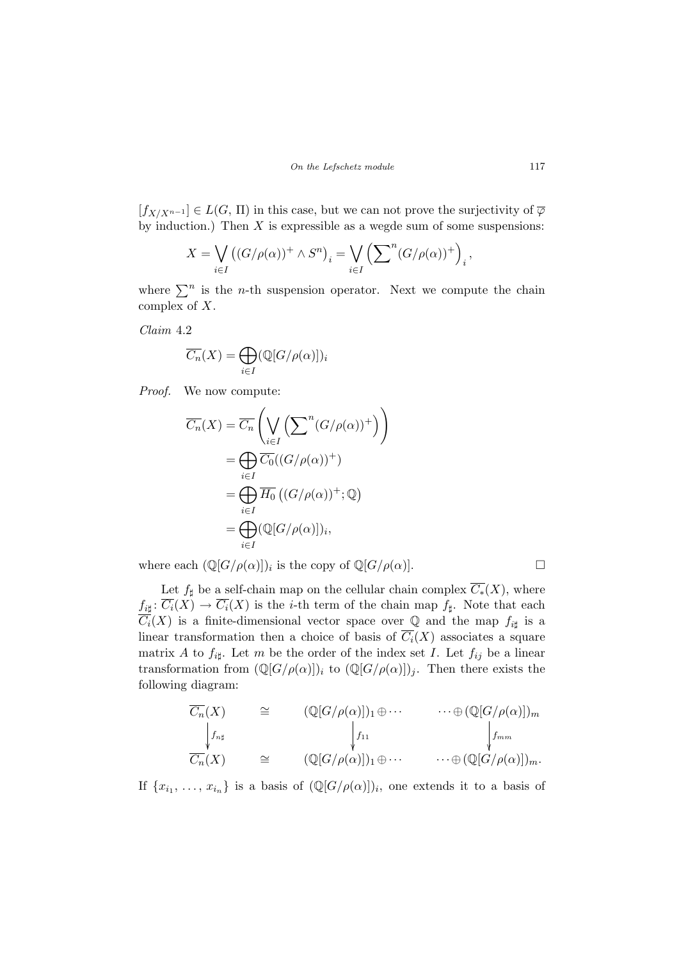$[f_{X/X^{n-1}}] \in L(G, \Pi)$  in this case, but we can not prove the surjectivity of  $\overline{\varphi}$ by induction.) Then  $X$  is expressible as a wegde sum of some suspensions:

$$
X = \bigvee_{i \in I} ((G/\rho(\alpha))^+ \wedge S^n)_i = \bigvee_{i \in I} \left( \sum^n (G/\rho(\alpha))^+ \right)_i,
$$

where  $\sum^n$  is the *n*-th suspension operator. Next we compute the chain complex of X.

Claim 4.2

$$
\overline{C_n}(X) = \bigoplus_{i \in I} (\mathbb{Q}[G/\rho(\alpha)])_i
$$

Proof. We now compute:

$$
\overline{C_n}(X) = \overline{C_n}\left(\bigvee_{i\in I} \left(\sum^n (G/\rho(\alpha))^+\right)\right)
$$
  
\n
$$
= \bigoplus_{i\in I} \overline{C_0}((G/\rho(\alpha))^+)\
$$
  
\n
$$
= \bigoplus_{i\in I} \overline{H_0}\left((G/\rho(\alpha))^+;\mathbb{Q}\right)
$$
  
\n
$$
= \bigoplus_{i\in I} (\mathbb{Q}[G/\rho(\alpha)])_i,
$$

where each  $(\mathbb{Q}[G/\rho(\alpha)])_i$  is the copy of  $\mathbb{Q}[G/\rho(\alpha)]$ .

Let  $f_{\sharp}$  be a self-chain map on the cellular chain complex  $\overline{C_{*}}(X)$ , where  $f_{i\sharp} \colon \overline{C_i}(X) \to \overline{C_i}(X)$  is the *i*-th term of the chain map  $f_{\sharp}$ . Note that each  $\overline{C_i}(X)$  is a finite-dimensional vector space over Q and the map  $f_{i\sharp}$  is a linear transformation then a choice of basis of  $\overline{C_i}(X)$  associates a square matrix A to  $f_{i\sharp}$ . Let m be the order of the index set I. Let  $f_{ij}$  be a linear transformation from  $(\mathbb{Q}[G/\rho(\alpha)])_i$  to  $(\mathbb{Q}[G/\rho(\alpha)])_j$ . Then there exists the following diagram:

$$
\overline{C_n}(X) \cong (\mathbb{Q}[G/\rho(\alpha)])_1 \oplus \cdots \cdots \oplus (\mathbb{Q}[G/\rho(\alpha)])_m
$$
  
\n
$$
\downarrow_{f_{n\sharp}} f_{n\sharp} \qquad \qquad \downarrow_{f_{11}} \qquad \qquad \downarrow_{f_{mm}}
$$
  
\n
$$
\overline{C_n}(X) \cong (\mathbb{Q}[G/\rho(\alpha)])_1 \oplus \cdots \cdots \oplus (\mathbb{Q}[G/\rho(\alpha)])_m.
$$

If  $\{x_{i_1}, \ldots, x_{i_n}\}\$ is a basis of  $(\mathbb{Q}[G/\rho(\alpha)])_i$ , one extends it to a basis of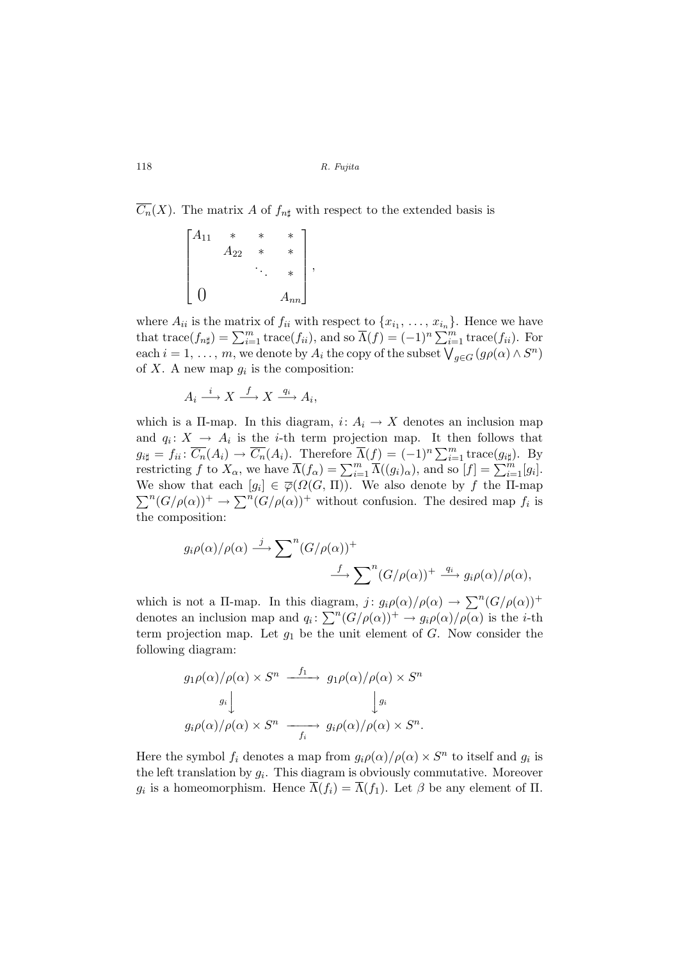$\overline{C_n}(X)$ . The matrix A of  $f_{n\sharp}$  with respect to the extended basis is

$$
\begin{bmatrix} A_{11} & * & * & * \\ & A_{22} & * & * \\ & & \ddots & * \\ 0 & & & A_{nn} \end{bmatrix},
$$

where  $A_{ii}$  is the matrix of  $f_{ii}$  with respect to  $\{x_{i_1}, \ldots, x_{i_n}\}$ . Hence we have where  $A_{ii}$  is the matrix of  $f_{ii}$  with respect to  $\{x_{i_1}, \ldots, x_{i_n}\}$ . Hence we have that  $\text{trace}(f_{n\sharp}) = \sum_{i=1}^m \text{trace}(f_{ii})$ , and so  $\overline{\Lambda}(f) = (-1)^n \sum_{i=1}^m \text{trace}(f_{ii})$ . For each  $i = 1, ..., m$ , we denote by  $A_i$  the copy of the subset  $\bigvee_{g \in G} (g\rho(\alpha) \wedge S^n)$ of X. A new map  $g_i$  is the composition:

$$
A_i \xrightarrow{i} X \xrightarrow{f} X \xrightarrow{q_i} A_i,
$$

which is a II-map. In this diagram,  $i: A_i \to X$  denotes an inclusion map and  $q_i: X \to A_i$  is the *i*-th term projection map. It then follows that  $g_{i\sharp} = f_{ii} : \overline{C_n}(A_i) \to \overline{C_n}(A_i)$ . Therefore  $\overline{\Lambda}(f) = (-1)^n \sum_{i=1}^m \text{trace}(g_{i\sharp})$ . By<br>restricting f to  $X_\alpha$ , we have  $\overline{\Lambda}(f_\alpha) = \sum_{i=1}^m \overline{\Lambda}((g_i)_\alpha)$ , and so  $[f] = \sum_{i=1}^m [g_i]$ . We show that each  $[g_i] \in \overline{\varphi}(\Omega(G, \Pi))$ . We also denote by f the II-map We show that each  $[g_i] \in \varphi(32(G, H))$ . We also denote by f the H-Hiap<br> $\sum^n (G/\rho(\alpha))^+ \to \sum^n (G/\rho(\alpha))^+$  without confusion. The desired map  $f_i$  is the composition:

$$
g_i \rho(\alpha) / \rho(\alpha) \stackrel{j}{\longrightarrow} \sum^n (G/\rho(\alpha))^+
$$
  

$$
\stackrel{f}{\longrightarrow} \sum^n (G/\rho(\alpha))^+ \stackrel{q_i}{\longrightarrow} g_i \rho(\alpha) / \rho(\alpha),
$$

which is not a II-map. In this diagram,  $j: g_i \rho(\alpha) / \rho(\alpha) \to \sum^n (G/\rho(\alpha))^+$ which is not a 11-map. In this diagram,  $\int g_i p(\alpha)/p(\alpha) \to \sum (\alpha/\rho(\alpha))$ <br>denotes an inclusion map and  $q_i \colon \sum^n (G/\rho(\alpha))^+ \to g_i \rho(\alpha)/\rho(\alpha)$  is the *i*-th term projection map. Let  $g_1$  be the unit element of  $G$ . Now consider the following diagram:

$$
g_1 \rho(\alpha) / \rho(\alpha) \times S^n \xrightarrow{f_1} g_1 \rho(\alpha) / \rho(\alpha) \times S^n
$$

$$
g_i \downarrow \qquad \qquad \downarrow g_i
$$

$$
g_i \rho(\alpha) / \rho(\alpha) \times S^n \xrightarrow{f_i} g_i \rho(\alpha) / \rho(\alpha) \times S^n.
$$

Here the symbol  $f_i$  denotes a map from  $g_i \rho(\alpha) / \rho(\alpha) \times S^n$  to itself and  $g_i$  is the left translation by  $g_i$ . This diagram is obviously commutative. Moreover  $g_i$  is a homeomorphism. Hence  $\overline{\Lambda}(f_i) = \overline{\Lambda}(f_1)$ . Let  $\beta$  be any element of  $\Pi$ .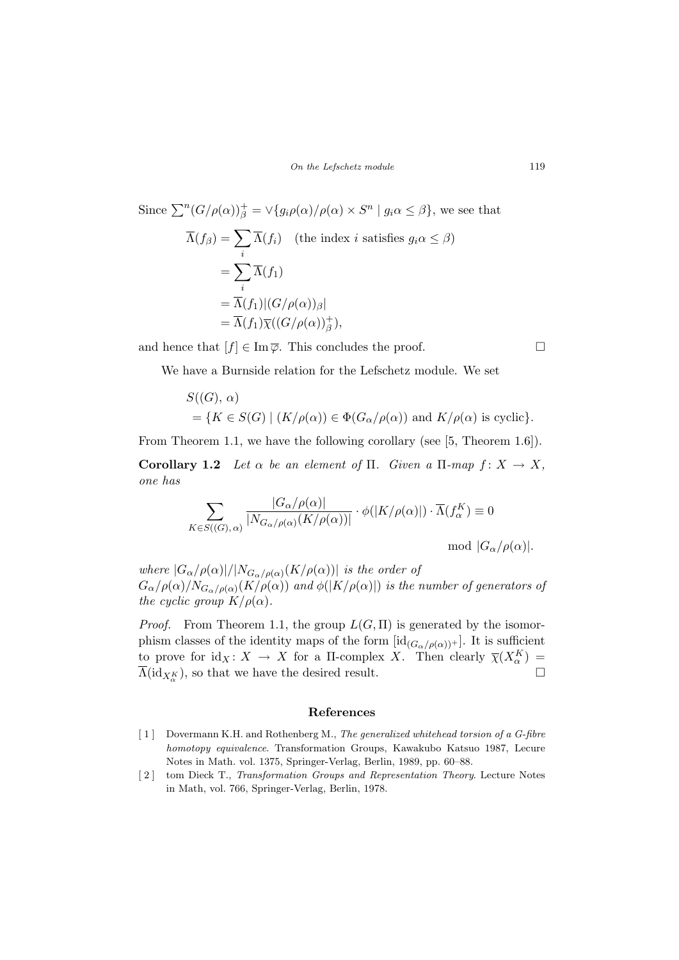Since 
$$
\sum^{n} (G/\rho(\alpha))_{\beta}^{+} = \sqrt{g_i \rho(\alpha) / \rho(\alpha)} \times S^{n} | g_i \alpha \leq \beta \}
$$
, we see that  
\n
$$
\overline{\Lambda}(f_{\beta}) = \sum_{i} \overline{\Lambda}(f_i) \quad \text{(the index } i \text{ satisfies } g_i \alpha \leq \beta)
$$
\n
$$
= \sum_{i} \overline{\Lambda}(f_1)
$$
\n
$$
= \overline{\Lambda}(f_1) |(G/\rho(\alpha))_{\beta}|
$$
\n
$$
= \overline{\Lambda}(f_1) \overline{\chi}((G/\rho(\alpha))_{\beta}^{+}),
$$

and hence that  $[f] \in \text{Im}\,\overline{\varphi}$ . This concludes the proof.  $\Box$ 

We have a Burnside relation for the Lefschetz module. We set

$$
S((G), \alpha)
$$
  
= { $K \in S(G)$  |  $(K/\rho(\alpha)) \in \Phi(G_{\alpha}/\rho(\alpha))$  and  $K/\rho(\alpha)$  is cyclic}.

From Theorem 1.1, we have the following corollary (see [5, Theorem 1.6]).

Corollary 1.2 Let  $\alpha$  be an element of  $\Pi$ . Given a  $\Pi$ -map  $f: X \to X$ , one has

$$
\sum_{K \in S((G), \alpha)} \frac{|G_{\alpha}/\rho(\alpha)|}{|N_{G_{\alpha}/\rho(\alpha)}(K/\rho(\alpha))|} \cdot \phi(|K/\rho(\alpha)|) \cdot \overline{\Lambda}(f_{\alpha}^{K}) \equiv 0
$$
  
mod  $|G_{\alpha}/\rho(\alpha)|$ .

where  $|G_{\alpha}/\rho(\alpha)|/|N_{G_{\alpha}/\rho(\alpha)}(K/\rho(\alpha))|$  is the order of  $G_{\alpha}/\rho(\alpha)/N_{G_{\alpha}/\rho(\alpha)}(K/\rho(\alpha))$  and  $\phi(|K/\rho(\alpha)|)$  is the number of generators of the cyclic group  $K/\rho(\alpha)$ .

*Proof.* From Theorem 1.1, the group  $L(G,\Pi)$  is generated by the isomorphism classes of the identity maps of the form  $[\mathrm{id}_{(G_{\alpha}/\rho(\alpha))}].$  It is sufficient to prove for  $\mathrm{id}_X\colon X \to X$  for a II-complex X. Then clearly  $\overline{\chi}(X_\alpha^K) =$  $\Lambda(\mathrm{id}_{X_{\alpha}^{K}})$ , so that we have the desired result.  $\Box$ 

#### References

- [ 1 ] Dovermann K.H. and Rothenberg M., The generalized whitehead torsion of a G-fibre homotopy equivalence. Transformation Groups, Kawakubo Katsuo 1987, Lecure Notes in Math. vol. 1375, Springer-Verlag, Berlin, 1989, pp. 60–88.
- [ 2 ] tom Dieck T., Transformation Groups and Representation Theory. Lecture Notes in Math, vol. 766, Springer-Verlag, Berlin, 1978.